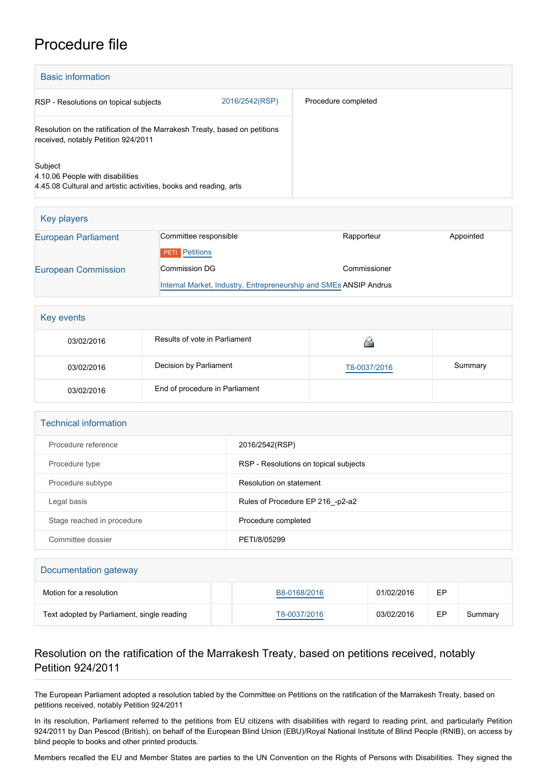## Procedure file

| <b>Basic information</b>                                                                                          |                |                     |
|-------------------------------------------------------------------------------------------------------------------|----------------|---------------------|
| RSP - Resolutions on topical subjects                                                                             | 2016/2542(RSP) | Procedure completed |
| Resolution on the ratification of the Marrakesh Treaty, based on petitions<br>received, notably Petition 924/2011 |                |                     |
| Subject<br>4.10.06 People with disabilities<br>4.45.08 Cultural and artistic activities, books and reading, arts  |                |                     |

| Key players                |                                                                   |              |           |
|----------------------------|-------------------------------------------------------------------|--------------|-----------|
| <b>European Parliament</b> | Committee responsible                                             | Rapporteur   | Appointed |
|                            | <b>Petitions</b><br>PETI                                          |              |           |
| <b>European Commission</b> | <b>Commission DG</b>                                              | Commissioner |           |
|                            | Internal Market, Industry, Entrepreneurship and SMEs ANSIP Andrus |              |           |

| Key events |                                |              |         |
|------------|--------------------------------|--------------|---------|
| 03/02/2016 | Results of vote in Parliament  |              |         |
| 03/02/2016 | Decision by Parliament         | T8-0037/2016 | Summary |
| 03/02/2016 | End of procedure in Parliament |              |         |

| <b>Technical information</b> |                                       |  |  |
|------------------------------|---------------------------------------|--|--|
| Procedure reference          | 2016/2542(RSP)                        |  |  |
| Procedure type               | RSP - Resolutions on topical subjects |  |  |
| Procedure subtype            | Resolution on statement               |  |  |
| Legal basis                  | Rules of Procedure EP 216 -p2-a2      |  |  |
| Stage reached in procedure   | Procedure completed                   |  |  |
| Committee dossier            | PETI/8/05299                          |  |  |

| Documentation gateway                      |              |            |    |         |
|--------------------------------------------|--------------|------------|----|---------|
| Motion for a resolution                    | B8-0168/2016 | 01/02/2016 | EP |         |
| Text adopted by Parliament, single reading | T8-0037/2016 | 03/02/2016 | EP | Summary |

## Resolution on the ratification of the Marrakesh Treaty, based on petitions received, notably Petition 924/2011

The European Parliament adopted a resolution tabled by the Committee on Petitions on the ratification of the Marrakesh Treaty, based on petitions received, notably Petition 924/2011

In its resolution, Parliament referred to the petitions from EU citizens with disabilities with regard to reading print, and particularly Petition 924/2011 by Dan Pescod (British), on behalf of the European Blind Union (EBU)/Royal National Institute of Blind People (RNIB), on access by blind people to books and other printed products.

Members recalled the EU and Member States are parties to the UN Convention on the Rights of Persons with Disabilities. They signed the